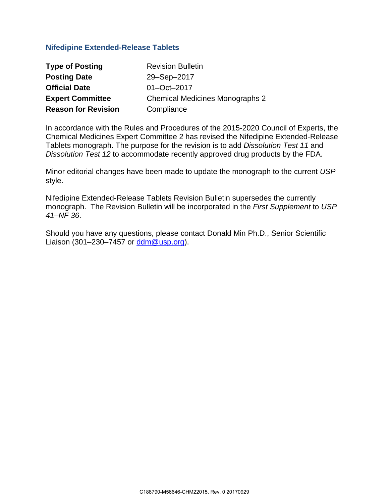## **Nifedipine Extended-Release Tablets**

| <b>Type of Posting</b>     | <b>Revision Bulletin</b>               |
|----------------------------|----------------------------------------|
| <b>Posting Date</b>        | 29-Sep-2017                            |
| <b>Official Date</b>       | 01-Oct-2017                            |
| <b>Expert Committee</b>    | <b>Chemical Medicines Monographs 2</b> |
| <b>Reason for Revision</b> | Compliance                             |

In accordance with the Rules and Procedures of the 2015-2020 Council of Experts, the Chemical Medicines Expert Committee 2 has revised the Nifedipine Extended-Release Tablets monograph. The purpose for the revision is to add *Dissolution Test 11* and *Dissolution Test 12* to accommodate recently approved drug products by the FDA.

Minor editorial changes have been made to update the monograph to the current *USP* style.

Nifedipine Extended-Release Tablets Revision Bulletin supersedes the currently monograph. The Revision Bulletin will be incorporated in the *First Supplement* to *USP 41–NF 36*.

Should you have any questions, please contact Donald Min Ph.D., Senior Scientific Liaison (301–230–7457 or [ddm@usp.org\)](mailto:ddm@usp.org).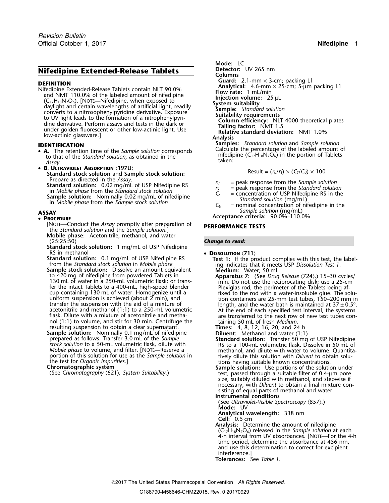# **Nifedipine Extended-Release Tablets Detector:** UV 265 nm

- **A** to that of the *Standard solution*, as obtained in the **Standard solution of the** *Standard solution*, as obtained in the **Standard solution** taken:
- B. ULTRAVIOLET ABSORPTION (197U) Standard stock solution and Sample stock solution:<br>Prepare as directed in the Assay. Standard solution: 0.02 mg/mL of USP Nifedipine RS<br>
in Mobile phase from the Standard solution: 0.02 mg/mL of USP Nifedipine RS<br>
in Mobile phase from the Standard stock solution<br>
in Mobile phase from the Sample solution:

## • PROCEDURE

- [NOTE—Conduct the *Assay* promptly after preparation of **PERFORMANCE TESTS** the *Standard solution* and the *Sample solution*.] **Mobile phase:** Acetonitrile, methanol, and water
- **Standard stock solution:** 1 mg/mL of USP Nifedipine RS in methanol
- RS in methanol<br> **Standard solution:** 0.1 mg/mL of USP Nifedipine RS<br>
from the *Standard stock solution* in *Mobile phase*<br> **Sample stock solution:** Dissolve an amount equivalent<br>
to 420 mg of nifedipine from powdered Tabl 130 mL of water in a 250-mL volumetric flask; or trans-<br>fer the intact Tablets to a 400-mL, high-speed blender<br>cup containing 130 mL of water. Homogenize until a fixed to the rod with a water-insoluble glue. The solunol (1:1) to volume, and stir for 30 min. Centrifuge the resulting 50 mL of fresh *Medium*.<br>
resulting suspension to obtain a clear supernatant.<br> **Times:** 4, 8, 12, 16, 20, and 24 h<br> **Rimes:** 4, 8, 12, 16, 20, and 24 h<br> **R**
- **Sample solution:** Nominally 0.1 mg/mL of nifedipine<br>prepared as follows. Transfer 3.0 mL of the Sample<br>stock solution to a 50-mL volumetric flask, dilute with<br>stock solution to a 50-mL volumetric flask, dilute with<br>RS to *Mobile phase* to volume, and filter. [NOTE—Reserve a methanol, and dilute with water to volume. Quantita-<br>portion of this solution for use as the *Sample solution* in tively dilute this solution with *Diluent* to obtain s portion of this solution for use as the *Sample solution* in tively dilute this solution with *Diluent* to obtain solu-<br>the test for *Organic Impurities*.]

**Mode:** LC **Columns DEFINITION**<br>
Cuard: 2.1-mm × 3-cm; packing L1<br>
Mifedipine Extended-Release Tablets contain NLT 90.0%<br>
and NMT 110.0% of the labeled amount of nifedipine<br>
(C<sub>17</sub>H<sub>18</sub>N<sub>2</sub>O<sub>6</sub>). [NOTE—Nifedipine, when exposed to<br>
daylight **Samples:** *Standard solution* and *Sample solution* **IDENTIFICATION** Calculate the percentage of the labeled amount of •

$$
Result = (r_U/r_S) \times (C_S/C_U) \times 100
$$

- 
- 
- 
- **ASSAY** *Sample solution* (mg/mL)
	- **<sup>P</sup>ROCEDURE Acceptance criteria:** 90.0%–110.0%

## **Change to read:**

- -
- uniform suspension is achieved (about 2 min), and<br>transfer the suspension with the aid of a mixture of<br>acetonitrile and methanol (1:1) to a 250-mL volumetric<br>flask. Dilute with a mixture of acetonitrile and metha-<br>flask.
	-

- 
- Chromatographic system<br>
(See Chromatography (621), System Suitability.)<br>
(See Chromatography (621), System Suitability.)<br>
(See Chromatography (621), System Suitability.) size, suitably diluted with methanol, and stepwise if necessary, with *Diluent* to obtain a final mixture consisting of equal parts of methanol and water.

**Instrumental conditions**

(See *Ultraviolet-Visible Spectroscopy* 〈857〉.) **Mode:** UV

**Analytical wavelength:** 338 nm

**Cell:** 0.5 cm

**Analysis:** Determine the amount of nifedipine (C17H18N2O6) released in the *Sample solution* at each 4-h interval from UV absorbances. [NOTE—For the 4-h time period, determine the absorbance at 456 nm, and use this determination to correct for excipient interference.]

**Tolerances:** See *Table 1*.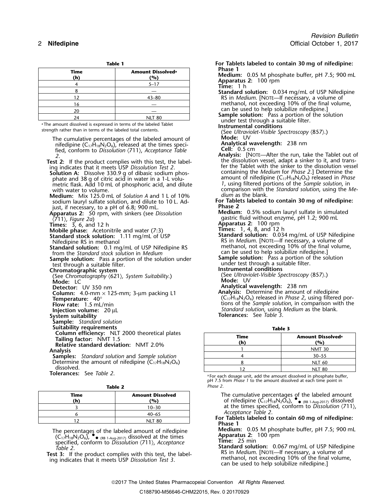|             |                                      | .                 |
|-------------|--------------------------------------|-------------------|
| Time<br>(h) | Amount Dissolved <sup>a</sup><br>(%) | Phase 1<br>Mediun |
|             | $5 - 17$                             | Appara<br>Time:   |
|             |                                      | Standar           |
| 12          | $43 - 80$                            | $RS$ in $\prime$  |
| 16          |                                      | metha             |
| 20          |                                      | can be            |
| 24          | <b>NLT 80</b>                        | Sample<br>indor   |

<sup>a</sup>The amount dissolved is expressed in terms of the labeled Tablet strength rather than in terms of the labeled total contents.

| The cumulative percentages of the labeled amount of<br>nifedipine ( $C_{17}H_{18}N_2O_6$ ), released at the times speci-                                                                                                                                                                                                                                                                                                                                                                                                                                                                                                                                                                                                                                                                                                                                                                                                 | Mode: UV<br>Analytical wavelength: 238 nm                                                                                                                                                                                                                |                                                                                                                                                                                                                                                                                                                                                                                                                                                                                                                                                                                                                                                                                                      |  |
|--------------------------------------------------------------------------------------------------------------------------------------------------------------------------------------------------------------------------------------------------------------------------------------------------------------------------------------------------------------------------------------------------------------------------------------------------------------------------------------------------------------------------------------------------------------------------------------------------------------------------------------------------------------------------------------------------------------------------------------------------------------------------------------------------------------------------------------------------------------------------------------------------------------------------|----------------------------------------------------------------------------------------------------------------------------------------------------------------------------------------------------------------------------------------------------------|------------------------------------------------------------------------------------------------------------------------------------------------------------------------------------------------------------------------------------------------------------------------------------------------------------------------------------------------------------------------------------------------------------------------------------------------------------------------------------------------------------------------------------------------------------------------------------------------------------------------------------------------------------------------------------------------------|--|
| fied, conform to Dissolution $\langle 711 \rangle$ , Acceptance Table                                                                                                                                                                                                                                                                                                                                                                                                                                                                                                                                                                                                                                                                                                                                                                                                                                                    | <b>Cell:</b> $0.5 \text{ cm}$                                                                                                                                                                                                                            |                                                                                                                                                                                                                                                                                                                                                                                                                                                                                                                                                                                                                                                                                                      |  |
| 2.<br><b>Test 2:</b> If the product complies with this test, the label-<br>ing indicates that it meets USP Dissolution Test 2.<br><b>Solution A:</b> Dissolve 330.9 g of dibasic sodium phos-<br>phate and 38 g of citric acid in water in a 1-L volu-<br>metric flask. Add 10 mL of phosphoric acid, and dilute<br>with water to volume.<br>Medium: Mix 125.0 mL of Solution A and 1 L of 10%<br>sodium lauryl sulfate solution, and dilute to 10 L. Ad-<br>just, if necessary, to a pH of 6.8; 900 mL.<br>Apparatus 2: 50 rpm, with sinkers (see Dissolution<br>〈711〉, Figure 2a)<br><b>Times:</b> $3, 6, and 12 h$<br><b>Mobile phase:</b> Acetonitrile and water (7:3)<br>Standard stock solution: 1.11 mg/mL of USP<br>Nifedipine RS in methanol<br>Standard solution: 0.1 mg/mL of USP Nifedipine RS<br>from the Standard stock solution in Medium<br><b>Sample solution:</b> Pass a portion of the solution under | <i>dium</i> as the blank.<br>Phase 2<br>gastric fluid without enzyme, pH 1.2; 900 mL<br>Apparatus 2: 100 rpm<br><b>Times:</b> 1, 4, 8, and 12 h<br>can be used to help solubilize nifedipine.]<br><b>Sample solution:</b> Pass a portion of the solution | <b>Analysis:</b> [NOTE—After the run, take the Tablet out<br>the dissolution vessel, adapt a sinker to it, and transt<br>fer the Tablet with the sinker to the dissolution vess<br>containing the Medium for Phase 2.] Determine the<br>amount of nifedipine $(C_{17}H_{18}N_2O_6)$ released in <i>Phas</i><br>1, using filtered portions of the Sample solution, in<br>comparison with the Standard solution, using the M<br>For Tablets labeled to contain 30 mg of nifedipine:<br><b>Medium:</b> 0.5% sodium lauryl sulfate in simulated<br>Standard solution: 0.034 mg/mL of USP Nifedipine<br>RS in Medium. [NOTE-If necessary, a volume of<br>methanol, not exceeding 10% of the final volume, |  |
| test through a suitable filter.                                                                                                                                                                                                                                                                                                                                                                                                                                                                                                                                                                                                                                                                                                                                                                                                                                                                                          | under test through a suitable filter.                                                                                                                                                                                                                    |                                                                                                                                                                                                                                                                                                                                                                                                                                                                                                                                                                                                                                                                                                      |  |
| Chromatographic system<br>(See Chromatography $(621)$ , System Suitability.)<br>Mode: LC<br>Detector: UV 350 nm<br>Column: $4.0$ -mm $\times$ 125-mm; 3-µm packing L1                                                                                                                                                                                                                                                                                                                                                                                                                                                                                                                                                                                                                                                                                                                                                    | Instrumental conditions<br>(See Ultraviolet-Visible Spectroscopy $\langle 857 \rangle$ .)<br>Mode: UV<br>Analytical wavelength: 238 nm<br>Analysis: Determine the amount of nifedipine                                                                   |                                                                                                                                                                                                                                                                                                                                                                                                                                                                                                                                                                                                                                                                                                      |  |
| <b>Temperature:</b> $40^\circ$                                                                                                                                                                                                                                                                                                                                                                                                                                                                                                                                                                                                                                                                                                                                                                                                                                                                                           |                                                                                                                                                                                                                                                          | $(C_1$ <sup><math>H_1</math><sub>8</sub>N<sub>2</sub>O<sub>6</sub>) released in <i>Phase 2</i>, using filtered por-</sup>                                                                                                                                                                                                                                                                                                                                                                                                                                                                                                                                                                            |  |
| Flow rate: 1.5 mL/min                                                                                                                                                                                                                                                                                                                                                                                                                                                                                                                                                                                                                                                                                                                                                                                                                                                                                                    | Standard solution, using Medium as the blank.                                                                                                                                                                                                            | tions of the Sample solution, in comparison with the                                                                                                                                                                                                                                                                                                                                                                                                                                                                                                                                                                                                                                                 |  |
| Injection volume: $20 \mu L$<br>System suitability<br>Sample: Standard solution                                                                                                                                                                                                                                                                                                                                                                                                                                                                                                                                                                                                                                                                                                                                                                                                                                          | <b>Tolerances:</b> See Table 3.                                                                                                                                                                                                                          |                                                                                                                                                                                                                                                                                                                                                                                                                                                                                                                                                                                                                                                                                                      |  |
| <b>Suitability requirements</b><br>Column efficiency: NLT 2000 theoretical plates                                                                                                                                                                                                                                                                                                                                                                                                                                                                                                                                                                                                                                                                                                                                                                                                                                        | Table 3                                                                                                                                                                                                                                                  |                                                                                                                                                                                                                                                                                                                                                                                                                                                                                                                                                                                                                                                                                                      |  |
| Tailing factor: NMT 1.5                                                                                                                                                                                                                                                                                                                                                                                                                                                                                                                                                                                                                                                                                                                                                                                                                                                                                                  | <b>Time</b>                                                                                                                                                                                                                                              | Amount Dissolved <sup>a</sup>                                                                                                                                                                                                                                                                                                                                                                                                                                                                                                                                                                                                                                                                        |  |
| Relative standard deviation: NMT 2.0%                                                                                                                                                                                                                                                                                                                                                                                                                                                                                                                                                                                                                                                                                                                                                                                                                                                                                    | (h)<br>$\mathbf{1}$                                                                                                                                                                                                                                      | (%)                                                                                                                                                                                                                                                                                                                                                                                                                                                                                                                                                                                                                                                                                                  |  |
| <b>Analysis</b>                                                                                                                                                                                                                                                                                                                                                                                                                                                                                                                                                                                                                                                                                                                                                                                                                                                                                                          | $\overline{4}$                                                                                                                                                                                                                                           | <b>NMT 30</b>                                                                                                                                                                                                                                                                                                                                                                                                                                                                                                                                                                                                                                                                                        |  |
| <b>Samples:</b> Standard solution and Sample solution<br>Determine the amount of nifedipine $(C_{17}H_{18}N_2O_6)$                                                                                                                                                                                                                                                                                                                                                                                                                                                                                                                                                                                                                                                                                                                                                                                                       |                                                                                                                                                                                                                                                          | $30 - 55$                                                                                                                                                                                                                                                                                                                                                                                                                                                                                                                                                                                                                                                                                            |  |
| dissolved.                                                                                                                                                                                                                                                                                                                                                                                                                                                                                                                                                                                                                                                                                                                                                                                                                                                                                                               | 8<br>12                                                                                                                                                                                                                                                  | <b>NLT 60</b>                                                                                                                                                                                                                                                                                                                                                                                                                                                                                                                                                                                                                                                                                        |  |
| <b>Tolerances:</b> See Table 2.                                                                                                                                                                                                                                                                                                                                                                                                                                                                                                                                                                                                                                                                                                                                                                                                                                                                                          |                                                                                                                                                                                                                                                          | <b>NLT 80</b>                                                                                                                                                                                                                                                                                                                                                                                                                                                                                                                                                                                                                                                                                        |  |
|                                                                                                                                                                                                                                                                                                                                                                                                                                                                                                                                                                                                                                                                                                                                                                                                                                                                                                                          | <sup>a</sup> For each dosage unit, add the amount dissolved in phosphate buffer,<br>pH 7.5 from <i>Phase 1</i> to the amount dissolved at each time point in                                                                                             |                                                                                                                                                                                                                                                                                                                                                                                                                                                                                                                                                                                                                                                                                                      |  |

**Table 2** *Phase 2*.

| Time<br>(h) | <b>Amount Dissolved</b><br>(%) |  |
|-------------|--------------------------------|--|
|             | $10 - 30$                      |  |
|             | $40 - 65$                      |  |
|             | <b>NLT 80</b>                  |  |

 $(C_{17}H_{18}N_2O_6)$ ,  $\bullet$  (RB 1-Aug-2017) dissolved at the times **Apparatus 2:** 100 rpm

**Table 1 For Tablets labeled to contain 30 mg of nifedipine: Medium:** 0.05 M phosphate buffer, pH 7.5; 900 mL<br>**Apparatus 2:** 100 rpm<br>**Time:** 1 h **Standard solution:** 0.034 mg/mL of USP Nifedipine RS in *Medium*. [NOTE—If necessary, a volume of methanol, not exceeding 10% of the final volume, can be used to help solubilize nifedipine. **Sample solution:** Pass a portion of the solution<br>under test through a suitable filter.<br>**Instrumental conditions** (See Ultraviolet-Visible Spectroscopy *(857).*)<br>Mode: UV Analytical wavelength: 238 nm **field**: 0.5 cm **2 Analysis:** [NOTE—After the run, take the Tablet out of the dissolution vessel, adapt a sinker to it, and transfer the Tablet with the sinker to the dissolution vessel containing the *Medium* for *Phase 2*.] Determine the amount of nifedipine (C<sub>17</sub>H<sub>18</sub>N<sub>2</sub>O<sub>6</sub>) released in *Phase* 1, using filtered portions of the *Sample solution*, in comparison with the *Standard solution*, using the Medium as the blank. For Tablets labeled to contain 30 *mg* of nifedipine:<br>Phase 2 **Medium:** 0.5% sodium lauryl sulfate in simulated qastric fluid without enzyme, pH 1.2; 900 mL **Apparatus 2:** 100 rpm **Times:** 1, 4, 8, and 12 h **Standard solution:** 0.034 mg/mL of USP Nifedipine RS in *Medium*. [NOTE—If necessary, a volume of methanol, not exceeding 10% of the final volume, under test through a suitable filter. **Instrumental conditions** (See *Ultraviolet-Visible Spectroscopy*  $\langle 857 \rangle$ .) **Mode:** UV **Analytical wavelength:** 238 nm **Flow rate:** 1.5 mL/min tions of the *Sample solution*, in comparison with the *Standard solution*, using *Medium* as the blank. **System suitability Tolerances:** See *Table 3*.

| Time<br>(h) | Amount Dissolved <sup>a</sup><br>(%) |
|-------------|--------------------------------------|
|             | <b>NMT 30</b>                        |
|             | $30 - 55$                            |
|             | <b>NLT 60</b>                        |
|             | <b>NLT 80</b>                        |

.For each dosage unit, add the amount dissolved in phosphate buffer, pH 7.5 from *Phase 1* to the amount dissolved at each time point in

**Time Amount Dissolved** The cumulative percentages of the labeled amount<br> **(h) (h) (h) (h) (h) (h) (h) (h) (h) (h) (h) (h) (h) (h) (h) (h) (h) (h) (h) (h) (h) (h) (h) (h) (** <sup>3</sup> 10–30 at the times specified, conform to *Dissolution* 〈711〉,

*Acceptance Table 2.* For Tablets labeled to contain 60 mg of nifedipine:<br>Phase 1

The percentages of the labeled amount of nifedipine<br>
(CarliablaCa) • a gas treated at the times<br> **Apparatus 2:** 100 rpm

Solution to Dissolution (711), Acceptance<br>
Time: 25 min<br>
The: 25 min<br>
The: 25 min<br>
Standard solution: 0.067 mg/mL of USP Nifedipine<br>
Test 3: If the product complies with this test, the label-<br>
ing indicates that it meets U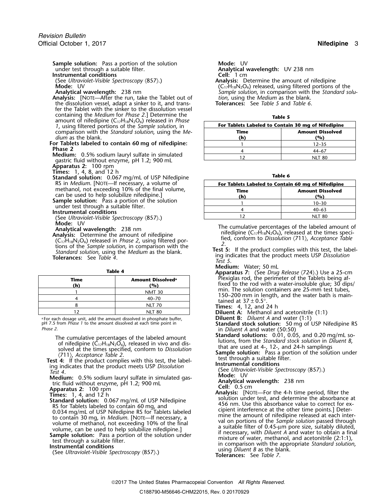**Sample solution:** Pass a portion of the solution **Mode:** UV under test through a suitable filter.

**Instrumental conditions** 

**Analysis:** [NOTE—After the run, take the Tablet out of *tion*, using the *Medium* as the blank.<br>19 the dissolution vessel, adapt a sinker to it, and trans-**Tolerances:** See Table 5 and Table 6. the dissolution vessel, adapt a sinker to it, and trans- **Tolerances:** See *Table 5* and *Table 6*. fer the Tablet with the sinker to the dissolution vessel containing the *Medium* for *Phase 2*.] Determine the amount of nifedipine (C<sub>17</sub>H<sub>18</sub>N<sub>2</sub>O<sub>6</sub>) released in *Phase 1*, using filtered portions of the *Sample solution*, in comparison with the *Standard solution*, using the *Medium* as the blank. **(h) (%)**

For Tablets labeled to contain 60 mg of nifedipine:<br>Phase 2

- **Medium:** 0.5% sodium lauryl sulfate in simulated gastric fluid without enzyme, pH 1.2; 900 mL
- **Apparatus 2:** 100 rpm<br>**Times:** 1, 4, 8, and 12 h
- 
- **Times:** 1, 4, 8, and 12 h **Table 6 Standard solution:** 0.067 mg/mL of USP Nifedipine methanol, not exceeding 10% of the final volume,
- can be used to help solubilize nifedipine.]<br> **Sample solution:** Pass a portion of the solution under test through a suitable filter.<br> **Instrumental conditions**
- 
- (See *Ultraviolet-Visible Spectroscopy*  $\langle 857 \rangle$ .)<br>Mode: UV
- 
- **Analytical wavelength:** 238 nm<br> **Analytical wavelength:** 238 nm<br> **Analytical wavelength:** 238 nm<br> **Analytical wavelength:** 238 nm<br> **Analytical wavelength:** 238 nm<br> **Analytical wavelength:** 238 nm<br> **Compulsion** in compari

|             |                                      | $\mu$                                                                                      |
|-------------|--------------------------------------|--------------------------------------------------------------------------------------------|
| Time<br>(h) | Amount Dissolved <sup>a</sup><br>(%) | Plexiglas rod, the perimeter of the Tablets<br>fixed to the rod with a water-insoluble glu |
|             | <b>NMT 30</b>                        | min. The solution containers are 25-mm to                                                  |
|             | $40 - 70$                            | 150–200 mm in length, and the water bat<br>tained at $37 \pm 0.5^{\circ}$ .                |
|             | <b>NLT 70</b>                        | <b>Times:</b> 4, 12, and 24 h                                                              |
|             | <b>NLT 80</b>                        | <b>Diluent A:</b> Methanol and acetonitrile (1:1)                                          |

a .For each dosage unit, add the amount dissolved in phosphate buffer, **Diluent B:** *Diluent A* and water (1:1) <sup>p</sup>H 7.5 from *Phase 1* to the amount dissolved at each time point in **Standard stock solution:** 50 mg of USP Nifedipine RS

The cumulative percentages of the labeled amount<br>
of nifedipine  $(C_1,H_{18}N_2O_6)$ , released in vivo and dis-<br>
solved at the times specified, conform to *Dissolution*<br>
(711), *Acceptance Table 2*.<br> **Test 4:** If the product

**Medium:** 0.5% sodium lauryl sulfate in simulated gas-<br>tric fluid without enzyme, pH 1.2: 900 ml<br>tric fluid without enzyme, pH 1.2: 900 ml tric fluid without enzyme, pH 1.2; 900 mL<br>**Analytical Wavelength:** 238 nm **Cell:** 0.5 cm

Analytical wavelength: UV 238 nm<br>Cell: 1 cm

(See *Ultraviolet-Visible Spectroscopy* 〈857〉.) **Analysis:** Determine the amount of nifedipine **Mode:** UV **Mode:** UV **Row C17H18N2O6** released, using filtered portions of the manufacture of the standard solution, in comparison with the *Standard* solution. Sample solution, in comparison with the *Standard solution*, using the *Medium* as the blank.

| $\sim$<br>$\sim$ | $\sim$ |
|------------------|--------|
|------------------|--------|

| For Tablets Labeled to Contain 30 mg of Nifedipine |           |  |
|----------------------------------------------------|-----------|--|
| <b>Amount Dissolved</b><br>Time                    |           |  |
| (h)                                                | %)        |  |
|                                                    | $12 - 35$ |  |
|                                                    | $44-67$   |  |
|                                                    | NIT 80    |  |

| $\alpha$ and $\alpha$ solution. $\alpha$ , $\alpha$ , $\alpha$ , $\alpha$ , $\alpha$ , $\alpha$ , $\alpha$ , $\alpha$ , $\alpha$ , $\alpha$ , $\alpha$ , $\alpha$ , $\alpha$ , $\alpha$ , $\alpha$ , $\alpha$ , $\alpha$ , $\alpha$ , $\alpha$ , $\alpha$ , $\alpha$ , $\alpha$ , $\alpha$ , $\alpha$ , $\alpha$ , $\alpha$ , $\alpha$ , $\alpha$ , $\alpha$ , $\alpha$ , $\alpha$ , $\alpha$ , $\alpha$ , |                                                    |                         |  |
|------------------------------------------------------------------------------------------------------------------------------------------------------------------------------------------------------------------------------------------------------------------------------------------------------------------------------------------------------------------------------------------------------------|----------------------------------------------------|-------------------------|--|
| RS in <i>Medium</i> . [NOTE—If necessary, a volume of                                                                                                                                                                                                                                                                                                                                                      | For Tablets Labeled to Contain 60 mg of Nifedipine |                         |  |
| methanol, not exceeding 10% of the final volume,                                                                                                                                                                                                                                                                                                                                                           | Time                                               | <b>Amount Dissolved</b> |  |
| can be used to help solubilize nifedipine.]                                                                                                                                                                                                                                                                                                                                                                | (h)                                                | (%)                     |  |
| <b>ample solution:</b> Pass a portion of the solution                                                                                                                                                                                                                                                                                                                                                      |                                                    | $10 - 30$               |  |
| under test through a suitable filter.<br>nstrumental conditions                                                                                                                                                                                                                                                                                                                                            |                                                    | $40 - 63$               |  |
| (See Ultraviolet-Visible Spectroscopy (857).)                                                                                                                                                                                                                                                                                                                                                              |                                                    | <b>NLT 80</b>           |  |

- 
- 
- 
- **Medium:** Water; 50 mL **Table 4 Apparatus 7:** (See *Drug Release* 〈724〉.) Use a 25-cm **Time Amount Dissolved<sup>a</sup>** Plexiglas rod, the perimeter of the Tablets being af- **.** fixed to the rod with a water-insoluble glue; 30 dips/ min. The solution containers are 25-mm test tubes, 150–200 mm in length, and the water bath is maintained at  $37 \pm 0.5^{\circ}$ .
	-
	-

- 
- in *Diluent A* and water (50:50)<br>**Standard solutions:** 0.01, 0.05, and 0.20 mg/mL solutions, from the Standard stock solution in *Diluent B*,

**Apparatus 2:** 100 rpm **Cell:** 0.5 cm<br> **Apparatus 2:** 100 rpm **Cell:** 0.5 cm<br> **Analysis:** [Note Times: 1, 4, and 12 h and 12 h and colution rest and determine the electronical **Analysis:** [NOTE—For the 4-h time period, filter the<br> **Standard solution:** 0.067 mg/mL of USP Nifedipine<br> **Standard solution:** 0.067 mg/mL of USP Nifedipine<br>
As for Tablets labeled to contain 40 mg, and<br>  $\frac{456 \text{ nm}}{456$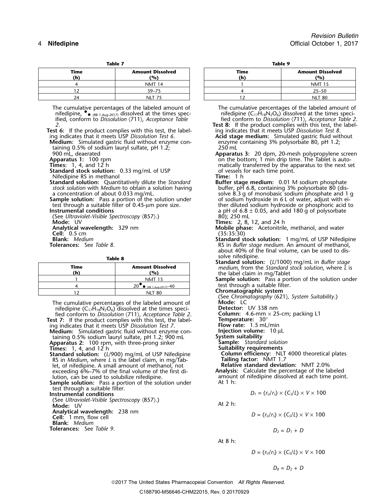| labi | ı |  |
|------|---|--|
|      |   |  |

| --------    |                                |  |
|-------------|--------------------------------|--|
| Time<br>(h) | <b>Amount Dissolved</b><br>(%) |  |
|             | <b>NMT 14</b>                  |  |
|             | $39 - 75$                      |  |
|             | NIT                            |  |

The cumulative percentages of the labeled amount of The cumulative percentages of the labeled amount of nifedipine ( $C_{17}H_{18}N_2O_6$ ) dissolved at the times specinifedipine ( $C_{17}H_{18}N_2O_6$ ) dissolved at the times sp ified, conform to *Dissolution* 〈711〉, *Acceptance Table* fied conform to *Dissolution* 〈711〉, *Acceptance Table 2*.

**Test 6:** If the product complies with this test, the label- ing indicates that it meets USP *Dissolution Test 8*.

**Medium:** Simulated gastric fluid without enzyme con- enzyme containing 3% polysorbate 80, pH 1.2; taining 0.5% of sodium lauryl sulfate, pH 1.2; 250 mL<br>1900 mL, deaerated and the subset of Apparati

**Standard stock solution:** 0.33 mg/mL of USP of vessels for each of vessels for each time point. Time: 1 h

Nifedipine RS in methanol<br> **Standard solution:** Quantitatively dilute the Standard **Time:** 1 h<br> **Time: 1 h Buffer stage medium:** 0.01 M sodium phosphate **Standard solution:** Quantitatively dilute the *Standard* **Buffer stage medium:** 0.01 M sodium phosphate *stock solution* with *Medium* to obtain a solution having

**Sample solution:** Pass a portion of the solution under test through a suitable filter of 0.45-µm pore size.

(See *Ultraviolet-Visible Spectroscopy* (857).)<br>**Mode:** UV **Analytical wavelength:** 329 nm<br> **Cell:** 0.5 cm (35:35:30)<br> **Blank:** Medium (35:30)<br> **Cell:** 0.5 cm (35:35:30)

| Time<br>(h` | <b>Amount Dissolved</b><br>'%' |
|-------------|--------------------------------|
|             | <b>NMT 15</b>                  |
|             | 20<br>• (RB 1-Aug-2017) $-40$  |
|             | NIT 80                         |

The cumulative percentages of the labeled amount of **Mode:** LC<br>
nifedipine  $(C_{17}H_{18}N_2O_6)$  dissolved at the times speci-<br>
fied conform to *Dissolution*  $\langle 711 \rangle$ , *Acceptance Table 2*. **Column:** 4.6-mm  $\times$  25-cm; pa nifedipine (C17H18N2O6) dissolved at the times speci- **Detector:** UV 338 nm fied conform to *Dissolution* 〈711〉, *Acceptance Table 2*. **Column:** 4.6-mm × 25-cm; packing L1

**Test 7:** If the product complies with this test, the label-<br>
ing indicates that it meets USP *Dissolution Test 7*. **Flow rate:** 1.5 mL/min<br> **Medium:** Simulated gastric fluid without enzyme con-<br> **Injection volume:** 10 µL ing indicates that it meets USP Dissolution Test 7.

**Medium:** Simulated gastric fluid without enzyme con- **Injection volume**<br>taining 0.5% sodium lauryl sulfate, pH 1.2; 900 mL **System suitability** taining 0.5% sodium lauryl sulfate, pH 1.2; 900 mL **Apparatus 2:** 100 rpm, with three-prong sinker **Sample:** *Standard solution*

**Standard solution:** (*L*/900) mg/mL of USP Nifedipine RS in *Medium*, where *L* is the label claim, in mg/Tab- **Tailing factor:** NMT 1.7 let, of nifedipine. A small amount of methanol, not **Relative standard deviation:** NMT 2.0% exceeding 6%–7% of the final volume of the first di-<br>*Aution, can be used to solubilize nifedipine.* 

Sample solution: Pass a portion of the solution under test through a suitable filter.

 $\overline{\text{U}}$  **D**  $\overline{\text{U}}$  *D*  $\overline{\text{U}}$  *D*  $\overline{\text{U}}$  *D*  $\overline{\text{U}}$  *Conditions* 

(See *Ultraviolet-Visible Spectroscopy* 〈857〉.)<br>**Mode:** UV At 2 h: **Analytical wavelength:** 238 nm<br>**Cell:** 1 mm, flow cell

**Blank:** *Medium*

**Tolerances:** See *Table 9*.  $D_2 = D_1 + D_2$ 

| Table 7 | Table 9 |
|---------|---------|
|         |         |

| Time<br>(h) | <b>Amount Dissolved</b><br>(%) | Time<br>(h) | <b>Amount Dissolved</b><br>(%) |
|-------------|--------------------------------|-------------|--------------------------------|
|             | <b>NMT 14</b>                  |             | <b>NMT 15</b>                  |
|             | $39 - 75$                      |             | $25 - 50$                      |
| 24          | NLT 75                         |             | <b>NLT 80</b>                  |

 $\bullet$  (RB 1-Aug-2017) dissolved at the times spec- nifedipine (C<sub>17</sub>H<sub>18</sub>N<sub>2</sub>O<sub>6</sub>) dissolved at the times speci-

**7est 8:** If the product complies with this test, the labeling indicates that it meets USP Dissolution Test 8.<br>**Acid stage medium:** Simulated gastric fluid without

- ing indicates that it meets USP *Dissolution Test 6*. **Acid stage medium:** Simulated gastric fluid without
- 900 mL, deaerated **Apparatus 3:** 20 dpm, 20-mesh polypropylene screen **Apparatus 1:** 100 rpm on the bottom; 1 min drip time. The Tablet is automatically transferred by the apparatus to the next set<br>of vessels for each time point.

a concentration of about 0.033 mg/mL.<br>Sample solution: Pass a portion of the solution under and solium hydroxide in 6 L of water, adjust with eitest through a suitable filter of 0.45-µm pore size.<br>ther diluted sodium hydroxide or phosphoric acid to<br>a pH of  $6.8 \pm 0.05$ , and add 180 g of polysorbate a pH of 6.8 ± 0.05, and add 180 g of polysorbate 80); 250 mL

**Times:** 2, 8, 12, and 24 h

Mobile phase: Acetonitrile, methanol, and water

- **Blank:** *Medium* **Standard stock solution:** 1 mg/mL of USP Nifedipine **Tolerances:** See *Table 8*. RS in *Buffer stage medium*. An amount of methanol, about 40% of the final volume, can be used to dis-
	- **Table 8 Standard solve nifedipine.**<br>**Standard solution:** (*L*/1000) mg/mL in *Buffer stage*<br>*medium*, from the *Standard stock solution*, where *L* is **(h) (%)** the label claim in mg/Tablet

**Sample solution:** Pass a portion of the solution under test through a suitable filter. •

**Chromatographic system** 

(See *Chromatography* 〈621〉*, System Suitability*.) **Sample:** *Standard solution*<br>**Suitability requirements**<br>**Column efficiency:** NLT 4000 theoretical plates<br>**Tailing factor:** NMT 1.7

amount of nifedipine dissolved at each time point.<br>At 1 h:

$$
D_1 = (r_U/r_S) \times (C_S/L) \times V \times 100
$$

$$
D = (r_{U}/r_{S}) \times (C_{S}/L) \times V \times 100
$$

At 8 h:

$$
D = (rU/rS) \times (CS/L) \times V \times 100
$$

2017 The United States Pharmacopeial Convention *All Rights Reserved.*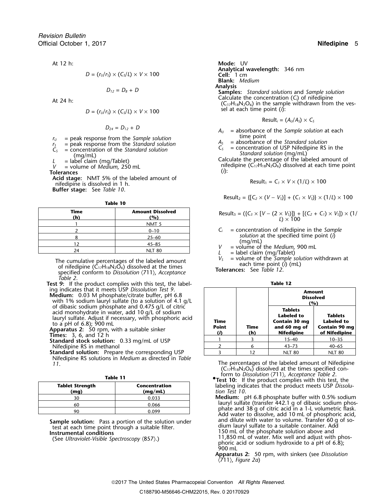$$
D = (r_{U}/r_{S}) \times (C_{S}/L) \times V \times 100
$$

$$
D_{12}=D_8+D
$$

$$
D = (r_{U}/r_{S}) \times (C_{S}/L) \times V \times 100
$$

- 
- 
- 

**Acid stage:** NMT 5% of the labeled amount of nifedipine is dissolved in 1 h. **Buffer stage:** See *Table 10*.

**Table 10**

| Time<br>(h) | <b>Amount Dissolved</b><br>(%) |
|-------------|--------------------------------|
|             | NMT <sub>5</sub>               |
|             | $0 - 10$                       |
|             | $25 - 60$                      |
| 1 つ         | $45 - 85$                      |
|             | <b>NLT 80</b>                  |

The cumulative percentages of the labeled amount<br>of nifedipine  $(C_{17}H_{18}N_2O_6)$  dissolved at the times<br>specified conform to Dissolution  $\langle 711 \rangle$ , Acceptance<br>Acceptance Tolerances: See Table 12. *Table 2*.

**Test 9:** If the product complies with this test, the label-<br>
ing indicates that it meets USP Dissolution Test 9.

Nifedipine RS solutions in *Medium* as directed in *Table*

| ۰, |
|----|
|----|

| <b>Tablet Strength</b><br>(mq) | Concentration<br>(mq/mL) |
|--------------------------------|--------------------------|
| ٦Λ                             | 0.033                    |
| 60                             | 0.066                    |
|                                | n naa                    |

and dilute with water to volume. Transfer 60 g of so- **Sample solution:** Pass a portion of the solution under test at each time point through a suitable filter.

At 12 h: **Mode:** UV **Analytical wavelength:** 346 nm *D* = (*<sup>r</sup>U*/*<sup>r</sup>S*) × (*CS*/*L*) <sup>×</sup> *V* <sup>×</sup> 100 **Cell:** 1 cm **Blank:** *Medium* **Analysis**<br>*Samples: Standard solutions and Sample solution***<br>Calculate the concentration (C<sub>i</sub>) of nifedipine** Calculate the concentration (*C<sub>i</sub>*) of nifedipine<br>(C<sub>17</sub>H<sub>18</sub>N<sub>2</sub>O<sub>6</sub>) in the sample withdrawn from the ves- $\delta$  sel at each time point (*i*):

$$
Result_i = (A_U/A_S) \times C_S
$$

- $D_{24} = D_{12} + D$  *A<sub>U</sub>* = absorbance of the *Sample solution* at each
	-
	-

 $r_0$  = peak response from the Sample solution<br>  $r_5$  = peak response from the Standard solution<br>  $C_5$  = concentration of the Standard solution<br>  $C_5$  = concentration of the Standard solution<br>
(mg/mL)<br>  $L$  = label claim

$$
Result_1 = C_1 \times V \times (1/L) \times 100
$$

Result<sub>2</sub> = {[
$$
C_2 \times (V - V_s)
$$
] + ( $C_1 \times V_s$ )}  $\times$  (1/*L*)  $\times$  100

| Time | Amount Dissolved | Result <sub>3</sub> = ( $\{C_3 \times [V - (2 \times V_5)]\} + [(C_2 + C_1) \times V_5]) \times (1/\ell)$ |
|------|------------------|-----------------------------------------------------------------------------------------------------------|
| (h)  | (%)              | Result <sub>3</sub> = ( $\{C_3 \times [V - (2 \times V_5)]\} + [(C_2 + C_1) \times V_5]) \times (1/\ell)$ |

- $C_i$  = concentration of nifedipine in the *Sample solution* at the specified time point (*i*)<br>  $V =$  volume of the *Medium*, 900 mL<br>  $L =$  label claim (mg/Tablet)<br>  $V_s =$  volume of the *Sample solution* withdrawn at
- 
- 
- 

| <b>est 9:</b> If the product complies with this test, the label-                                                                                                                                                                                                              |                                  |             | IADIE IZ                                                                    |                                                                       |
|-------------------------------------------------------------------------------------------------------------------------------------------------------------------------------------------------------------------------------------------------------------------------------|----------------------------------|-------------|-----------------------------------------------------------------------------|-----------------------------------------------------------------------|
| ing indicates that it meets USP Dissolution Test 9.<br><b>Medium:</b> 0.03 M phosphate/citrate buffer, pH 6.8<br>with 1% sodium lauryl sulfate (to a solution of 4.1 $q/L$                                                                                                    |                                  |             |                                                                             | <b>Amount</b><br><b>Dissolved</b><br>(%)                              |
| of dibasic sodium phosphate and 0.475 g/L of citric<br>acid monohydrate in water, add 10 g/L of sodium<br>lauryl sulfate. Adjust if necessary, with phosphoric acid<br>to a pH of 6.8); 900 mL<br>Apparatus 2: 50 rpm, with a suitable sinker<br><b>Times:</b> 3, 6, and 12 h | Time<br><b>Point</b><br>$\bf{r}$ | Time<br>(h) | <b>Tablets</b><br>Labeled to<br>Contain 30 mg<br>and 60 mg of<br>Nifedipine | <b>Tablets</b><br><b>Labeled to</b><br>Contain 90 mg<br>of Nifedipine |
| <b>Standard stock solution: 0.33 mg/mL of USP</b>                                                                                                                                                                                                                             |                                  |             | $15 - 40$                                                                   | $10 - 35$                                                             |
| Nifedipine RS in methanol                                                                                                                                                                                                                                                     |                                  |             | $43 - 73$                                                                   | $40 - 65$                                                             |
| <b>Standard solution:</b> Prepare the corresponding USP                                                                                                                                                                                                                       |                                  | 12          | <b>NLT 80</b>                                                               | <b>NLT 80</b>                                                         |
|                                                                                                                                                                                                                                                                               |                                  |             |                                                                             |                                                                       |

*11*. The percentages of the labeled amount of Nifedipine (C $_{17}$ H $_{18}$ N $_{2}$ O $_{6}$ ) dissolved at the times specified conform to *Dissolution*  $\langle 711 \rangle$ , *Acceptance Table 2*.<br>**Table 11 •P •P •10 •***f* **•***b* **•***s* **•***r••••••* 

**.Test 10:** If the product complies with this test, the labeling indicates that the product meets USP Dissolu-**(mg) (mg/mL)** *tion Test 10*.

Medium: pH 6.8 phosphate buffer with 0.5% sodium lauryl sulfate (transfer 442.1 g of dibasic sodium phos-<br>phate and 38 g of citric acid in a 1-L volumetric flask. Add water to dissolve, add 10 mL of phosphoric acid, and dilute with water to volume. Transfer 60 g of so-Instrumental conditions in a summer with the summer of the phosphate solution above and<br> **Instrumental conditions** 150 mL of the phosphate solution above and<br> **Instrumental conditions** (See Illtraviolet-Visible Spectroscop See *Ultraviolet-Visible Spectroscopy* (857).) **be a property of the set of the condition** of water. Mix well and adjust with phos-<br>phoric acid or sodium hydroxide to a pH of 6.8);<br>900 mL

**Apparatus 2:** 50 rpm, with sinkers (see *Dissolution* 〈711〉, *Figure 2a*)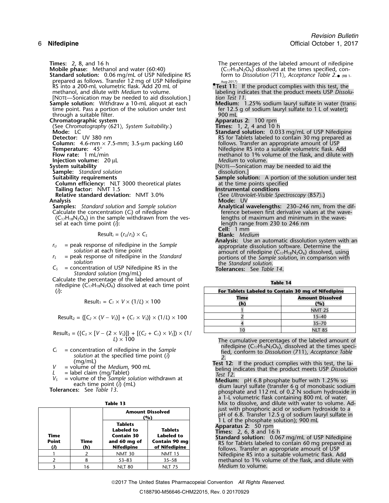**Standard solution:** 0.06 mg/mL of USP Nifedipine RS prepared as follows. Transfer 12 mg of USP Nifedipine Aug-2017) RS into a 200-mL volumetric flask. Add 20 mL of **•.Test 11:** If the product complies with this test, the [NOTE—Sonication may be needed to aid dissolution.] *tion Test 11*. time point. Pass a portion of the solution under test fer 12.5 g of sodium lauryl sulfate to 1 L of water);<br>through a suitable filter. through a suitable filter.<br> **Chromatographic system**<br> **Chromatographic system Chromatographic system**<br>(See Chromatography (621), System Suitability.) **Apparatus 2:** 100 rpm (See Chromatography *〈621〉, System Suitability.*)<br>**Mode:** LC **Column:** 4.6-mm × 7.5-mm; 3.5-µm packing L60<br>**Column:** 4.6-mm × 7.5-mm; 3.5-µm packing L60<br>**Temperature:** 45° **Temperature:** 45° **Nifedipine RS** into a suitable volumetric flask. Add **Flow rate:** 1 mL/min **COVID-100 COVID-100 COVID-100 COVID-100 COVID-100 COVID-100 COVID-100 COVID-100 COVID-100 COVID-100 COVID-Injection volume:** 20 µL **System suitability<br>
Sample:** *Standard solution*<br>
Suitability requirements **Column efficiency:** NLT 3000 theoretical plates at the time points specified **Tailing factor:** NMT 1.5 **Instrumental conditions Relative standard deviation:** NMT 3.0% (See *Ultraviolet-Visible Spectroscopy*  $\langle 857 \rangle$ .)<br>**Analysis Mode:** UV **Analysis Mode:** UV **Samples:** *Standard solution* and *Sample solution* **Analytical wavelengths:** 230–246 nm, from the dif-<br>Calculate the concentration (C<sub>i</sub>) of nifedipine **the analytical variable of the concentration** (C<sub>i</sub>) of nifedipine  $(C_{17}H_{18}N_2O_6)$  in the sample withdrawn from the vessel at each time point (*i*):

$$
Result_i = (r_v/r_s) \times C_s
$$
 **Blank:** *Medium*

- 
- 
- *C<sup>S</sup>* = concentration of USP Nifedipine RS in the **Tolerances:** See *Table 14*. *Standard solution* (mg/mL)
- Calculate the percentage of the labeled amount of **Table 14** nifedipine (C17H18N2O6) dissolved at each time point

$$
Result_1 = C_1 \times V \times (1/L) \times 100
$$

Result<sub>3</sub> = (
$$
\{C_3 \times [V - (2 \times V_5)]\} + [(C_2 + C_1) \times V_5] \times (1)
$$
   
  $L \times 100$ 

- 
- 
- 
- 

| ۰, |  |
|----|--|
|----|--|

|                             |             | <b>Amount Dissolved</b><br>'%)                                                                                                                                  |               |
|-----------------------------|-------------|-----------------------------------------------------------------------------------------------------------------------------------------------------------------|---------------|
| Time<br><b>Point</b><br>(i) | Time<br>(h) | <b>Tablets</b><br>Labeled to<br><b>Tablets</b><br><b>Contain 30</b><br>Labeled to<br><b>Contain 90 mg</b><br>and 60 mg of<br><b>Nifedipine</b><br>of Nifedipine |               |
|                             |             | <b>NMT 30</b>                                                                                                                                                   | <b>NMT 15</b> |
|                             |             | $53 - 83$                                                                                                                                                       | $35 - 58$     |
|                             | 16          | <b>NLT 80</b>                                                                                                                                                   | <b>NLT 75</b> |

**Times:** 2, 8, and 16 h The percentages of the labeled amount of nifedipine<br>Mobile phase: Methanol and water (60:40) <br>(C<sub>17</sub>H<sub>18</sub>N<sub>2</sub>O<sub>6</sub>) dissolved at the times specified, con- $(C_{17}H_{18}N_2O_6)$  dissolved at the times specified, con-• (RB 1-

- methanol, and dilute with *Medium* to volume.<br>[NOTE—Sonication may be needed to aid dissolution.] labeling indicates that the product meets USP *Dissolu*-
- **Sample solution:** Withdraw a 10-mL aliquot at each **Medium:** 1.25% sodium lauryl sulfate in water (trans-
	-
	-
	- Standard solution: 0.033 mg/mL of USP Nifedipine RS for Tablets labeled to contain 30 mg prepared as follows. Transfer an appropriate amount of USP **Flow Flow 1 mathband methanol methanol to 1% volume of the flask, and dilute with median**<br>*Medium* to volume.
	- [NOTE—Sonication may be needed to aid the dissolution.]
	- **Sample solution:** A portion of the solution under test at the time points specified
	-
	-
	- ference between first derivative values at the wave-<br>lengths of maximum and minimum in the wavelength range from 230 to 246 nm **Cell:** 1 mm
	-
- **Analysis:** Use an automatic dissolution system with an  $r_U$  = peak response of nifedipine in the *Sample*<br> *r<sub>S</sub>* = peak response of nifedipine in the *Standard* amount of nifedipine (C<sub>17</sub>H<sub>18</sub>N<sub>2</sub>O<sub>6</sub>) dissolved, using<br>  $r_S$  = peak response of nifedipine in the *Standard* p *<sup>r</sup><sup>S</sup>* = peak response of nifedipine in the *Standard* portions of the *Sample solution*, in comparison with *solution* the *Standard solution*.
	-

| (ስ):                                                                                                                                                                                                                                                                                                                                                                                                                                                   | For Tablets Labeled to Contain 30 mg of Nifedipine |                                |  |
|--------------------------------------------------------------------------------------------------------------------------------------------------------------------------------------------------------------------------------------------------------------------------------------------------------------------------------------------------------------------------------------------------------------------------------------------------------|----------------------------------------------------|--------------------------------|--|
| Result <sub>1</sub> = $C_1 \times V \times (1/L) \times 100$                                                                                                                                                                                                                                                                                                                                                                                           | Time<br>(h)                                        | <b>Amount Dissolved</b><br>(%) |  |
|                                                                                                                                                                                                                                                                                                                                                                                                                                                        |                                                    | <b>NMT 25</b>                  |  |
| Result <sub>2</sub> = { $[C_2 \times (V - V_5)] + (C_1 \times V_5) \times (1/L) \times 100$                                                                                                                                                                                                                                                                                                                                                            |                                                    | $15 - 40$                      |  |
|                                                                                                                                                                                                                                                                                                                                                                                                                                                        |                                                    | $35 - 70$                      |  |
| $\text{Soult}_2 = \text{C}C_2 \times \text{D} = \text{C}2 \times \text{D} = \text{C}2 \times \text{D} = \text{C}2 \times \text{D} = \text{C}2 \times \text{D} = \text{C}2 \times \text{D} = \text{C}2 \times \text{D} = \text{C}2 \times \text{D} = \text{C}2 \times \text{D} = \text{C}2 \times \text{D} = \text{C}2 \times \text{D} = \text{C}2 \times \text{D} = \text{C}2 \times \text{D} = \text{C}2 \times \text{D} = \text{C}2 \times \text{D}$ |                                                    | <b>NLT 85</b>                  |  |

The cumulative percentages of the labeled amount of nifedipine  $(C_{17}H_{18}N_2O_6)$ , dissolved at the times speci-

- $V_5$  = concentration of nifedipine in the *Sample*<br>
solution at the specified time point (i)<br>  $V_5$  = volume of the *Medium*, 900 mL<br>  $L =$ label claim (mg/Tablet)<br>  $V_5$  = volume of the *Sample solution* withdrawn at<br>
eac
	- a 1-L volumetric flask containing 800 mL of water. **Table 13** Mix to dissolve, and dilute with water to volume. Adjust with phosphoric acid or sodium hydroxide to a<br>pH of 6.8. Transfer 12.5 g of sodium lauryl sulfate in
	-
	-
	- 1 L of the phosphate solution); 900 mL<br>Apparatus 2: 50 rpm<br>Times: 2, 6, 8 and 16 h<br>Standard solution: 0.067 mg/mL of USP Nifedipine<br>RS for Tablets labeled to contain 60 mg prepared as<br>follows. Transfer an appropriate amoun methanol to 1% volume of the flask, and dilute with *Medium* to volume.